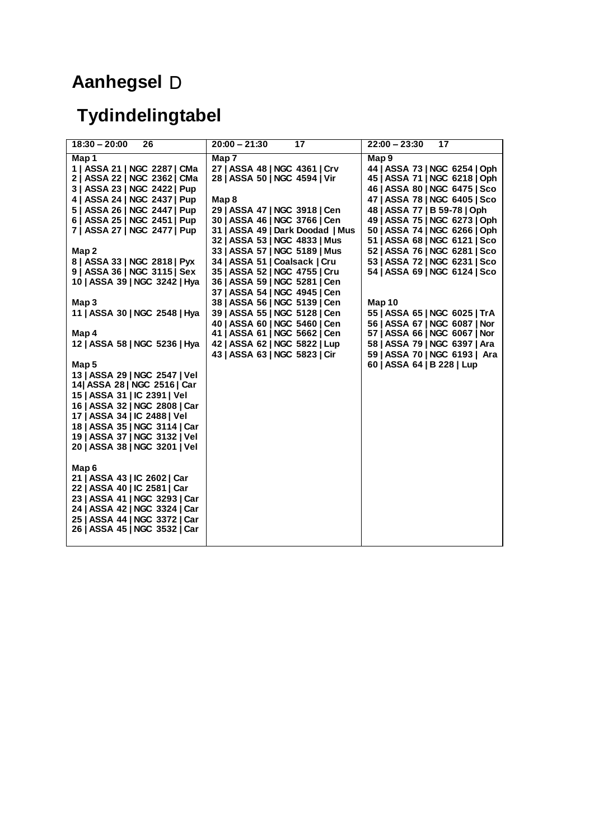## **Aanhegsel**  D

## **Tydindelingtabel**

| $18:30 - 20:00$<br>26                  | $20:00 - 21:30$<br>17                                          | $22:00 - 23:30$<br>17                                          |
|----------------------------------------|----------------------------------------------------------------|----------------------------------------------------------------|
| Map 1                                  | Map 7                                                          | Map 9                                                          |
| 1   ASSA 21   NGC 2287   CMa           | 27   ASSA 48   NGC 4361   Crv                                  | 44   ASSA 73   NGC 6254   Oph                                  |
| 2   ASSA 22   NGC 2362   CMa           | 28   ASSA 50   NGC 4594   Vir                                  | 45   ASSA 71   NGC 6218   Oph                                  |
| 3   ASSA 23   NGC 2422   Pup           |                                                                | 46   ASSA 80   NGC 6475   Sco                                  |
| 4   ASSA 24   NGC 2437   Pup           | Map 8                                                          | 47   ASSA 78   NGC 6405   Sco                                  |
| 5   ASSA 26   NGC 2447   Pup           | 29   ASSA 47   NGC 3918   Cen                                  | 48   ASSA 77   B 59-78   Oph                                   |
| 6   ASSA 25   NGC 2451   Pup           | 30   ASSA 46   NGC 3766   Cen                                  | 49   ASSA 75   NGC 6273   Oph                                  |
| 7   ASSA 27   NGC 2477   Pup           | 31   ASSA 49   Dark Doodad   Mus                               | 50   ASSA 74   NGC 6266   Oph                                  |
|                                        | 32   ASSA 53   NGC 4833   Mus                                  | 51   ASSA 68   NGC 6121   Sco                                  |
| Map 2                                  | 33   ASSA 57   NGC 5189   Mus                                  | 52   ASSA 76   NGC 6281   Sco                                  |
| 8   ASSA 33   NGC 2818   Pyx           | 34   ASSA 51   Coalsack   Cru                                  | 53   ASSA 72   NGC 6231   Sco                                  |
| 9   ASSA 36   NGC 3115   Sex           | 35   ASSA 52   NGC 4755   Cru                                  | 54   ASSA 69   NGC 6124   Sco                                  |
| 10   ASSA 39   NGC 3242   Hya          | 36   ASSA 59   NGC 5281   Cen                                  |                                                                |
|                                        | 37   ASSA 54   NGC 4945   Cen                                  |                                                                |
| Map 3                                  | 38   ASSA 56   NGC 5139   Cen                                  | Map 10                                                         |
| 11   ASSA 30   NGC 2548   Hya          | 39   ASSA 55   NGC 5128   Cen                                  | 55   ASSA 65   NGC 6025   TrA                                  |
|                                        | 40   ASSA 60   NGC 5460   Cen                                  | 56   ASSA 67   NGC 6087   Nor                                  |
| Map 4<br>12   ASSA 58   NGC 5236   Hya | 41   ASSA 61   NGC 5662   Cen                                  | 57   ASSA 66   NGC 6067   Nor<br>58   ASSA 79   NGC 6397   Ara |
|                                        | 42   ASSA 62   NGC 5822   Lup<br>43   ASSA 63   NGC 5823   Cir | 59   ASSA 70   NGC 6193   Ara                                  |
| Map 5                                  |                                                                | 60   ASSA 64   B 228   Lup                                     |
| 13   ASSA 29   NGC 2547   Vel          |                                                                |                                                                |
| 14 ASSA 28   NGC 2516   Car            |                                                                |                                                                |
| 15   ASSA 31   IC 2391   Vel           |                                                                |                                                                |
| 16   ASSA 32   NGC 2808   Car          |                                                                |                                                                |
| 17   ASSA 34   IC 2488   Vel           |                                                                |                                                                |
| 18   ASSA 35   NGC 3114   Car          |                                                                |                                                                |
| 19   ASSA 37   NGC 3132   Vel          |                                                                |                                                                |
| 20   ASSA 38   NGC 3201   Vel          |                                                                |                                                                |
|                                        |                                                                |                                                                |
| Map 6                                  |                                                                |                                                                |
| 21   ASSA 43   IC 2602   Car           |                                                                |                                                                |
| 22   ASSA 40   IC 2581   Car           |                                                                |                                                                |
| 23   ASSA 41   NGC 3293   Car          |                                                                |                                                                |
| 24   ASSA 42   NGC 3324   Car          |                                                                |                                                                |
| 25   ASSA 44   NGC 3372   Car          |                                                                |                                                                |
| 26   ASSA 45   NGC 3532   Car          |                                                                |                                                                |
|                                        |                                                                |                                                                |